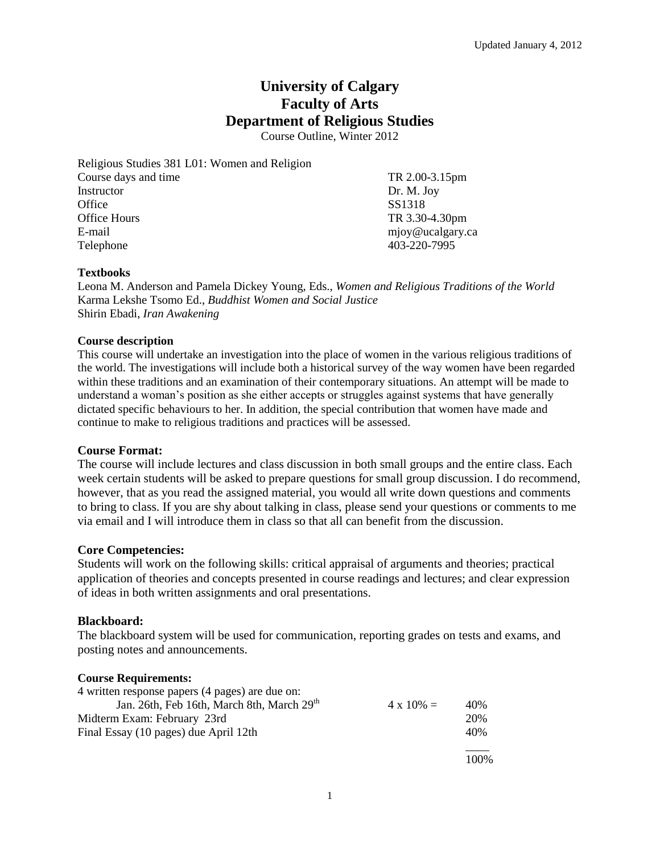# **University of Calgary Faculty of Arts Department of Religious Studies**

Course Outline, Winter 2012

Religious Studies 381 L01: Women and Religion Course days and time TR 2.00-3.15pm Instructor Dr. M. Joy Office SS1318 Office Hours TR 3.30-4.30pm E-mail mjoy@ucalgary.ca Telephone 403-220-7995

## **Textbooks**

Leona M. Anderson and Pamela Dickey Young, Eds., *Women and Religious Traditions of the World* Karma Lekshe Tsomo Ed., *Buddhist Women and Social Justice* Shirin Ebadi, *Iran Awakening*

## **Course description**

This course will undertake an investigation into the place of women in the various religious traditions of the world. The investigations will include both a historical survey of the way women have been regarded within these traditions and an examination of their contemporary situations. An attempt will be made to understand a woman's position as she either accepts or struggles against systems that have generally dictated specific behaviours to her. In addition, the special contribution that women have made and continue to make to religious traditions and practices will be assessed.

## **Course Format:**

The course will include lectures and class discussion in both small groups and the entire class. Each week certain students will be asked to prepare questions for small group discussion. I do recommend, however, that as you read the assigned material, you would all write down questions and comments to bring to class. If you are shy about talking in class, please send your questions or comments to me via email and I will introduce them in class so that all can benefit from the discussion.

## **Core Competencies:**

Students will work on the following skills: critical appraisal of arguments and theories; practical application of theories and concepts presented in course readings and lectures; and clear expression of ideas in both written assignments and oral presentations.

## **Blackboard:**

The blackboard system will be used for communication, reporting grades on tests and exams, and posting notes and announcements.

## **Course Requirements:**

| 4 written response papers (4 pages) are due on:        |                   |     |
|--------------------------------------------------------|-------------------|-----|
| Jan. 26th, Feb 16th, March 8th, March 29 <sup>th</sup> | $4 \times 10\% =$ | 40% |
| Midterm Exam: February 23rd                            |                   | 20% |
| Final Essay (10 pages) due April 12th                  |                   | 40% |
|                                                        |                   |     |

100%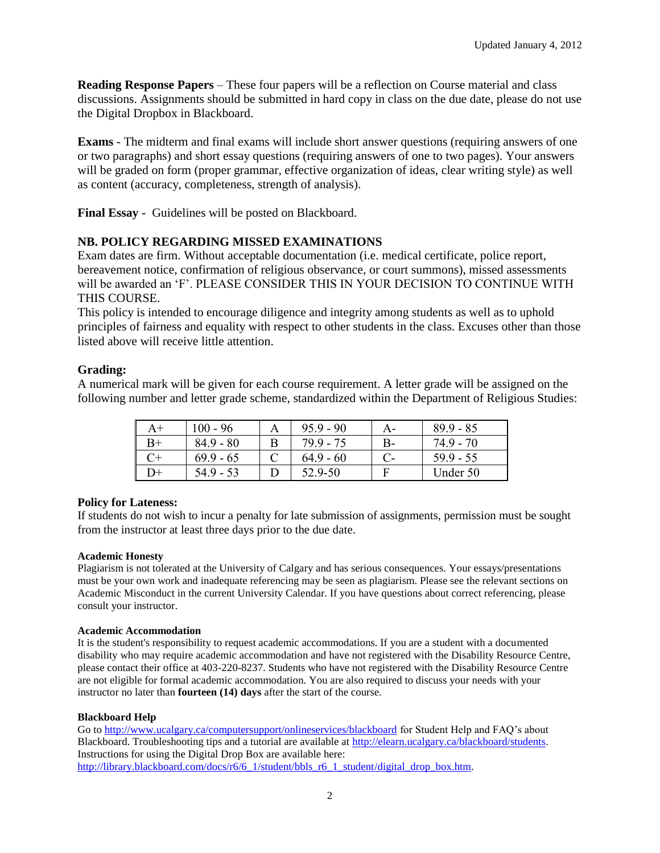**Reading Response Papers** – These four papers will be a reflection on Course material and class discussions. Assignments should be submitted in hard copy in class on the due date, please do not use the Digital Dropbox in Blackboard.

**Exams** - The midterm and final exams will include short answer questions (requiring answers of one or two paragraphs) and short essay questions (requiring answers of one to two pages). Your answers will be graded on form (proper grammar, effective organization of ideas, clear writing style) as well as content (accuracy, completeness, strength of analysis).

**Final Essay -** Guidelines will be posted on Blackboard.

# **NB. POLICY REGARDING MISSED EXAMINATIONS**

Exam dates are firm. Without acceptable documentation (i.e. medical certificate, police report, bereavement notice, confirmation of religious observance, or court summons), missed assessments will be awarded an 'F'. PLEASE CONSIDER THIS IN YOUR DECISION TO CONTINUE WITH THIS COURSE.

This policy is intended to encourage diligence and integrity among students as well as to uphold principles of fairness and equality with respect to other students in the class. Excuses other than those listed above will receive little attention.

# **Grading:**

A numerical mark will be given for each course requirement. A letter grade will be assigned on the following number and letter grade scheme, standardized within the Department of Religious Studies:

|      | $100 - 96$  |   | $95.9 - 90$ |      | $89.9 - 85$ |
|------|-------------|---|-------------|------|-------------|
| $B+$ | $84.9 - 80$ | B | 799 - 75    | $B-$ | 749-70      |
|      | $69.9 - 65$ |   | $64.9 - 60$ |      | $59.9 - 55$ |
| $+$  | 54.9 - 53   |   | 52.9-50     |      | Under 50    |

## **Policy for Lateness:**

If students do not wish to incur a penalty for late submission of assignments, permission must be sought from the instructor at least three days prior to the due date.

### **Academic Honesty**

Plagiarism is not tolerated at the University of Calgary and has serious consequences. Your essays/presentations must be your own work and inadequate referencing may be seen as plagiarism. Please see the relevant sections on Academic Misconduct in the current University Calendar. If you have questions about correct referencing, please consult your instructor.

### **Academic Accommodation**

It is the student's responsibility to request academic accommodations. If you are a student with a documented disability who may require academic accommodation and have not registered with the Disability Resource Centre, please contact their office at 403-220-8237. Students who have not registered with the Disability Resource Centre are not eligible for formal academic accommodation. You are also required to discuss your needs with your instructor no later than **fourteen (14) days** after the start of the course.

### **Blackboard Help**

Go to<http://www.ucalgary.ca/computersupport/onlineservices/blackboard> for Student Help and FAQ's about Blackboard. Troubleshooting tips and a tutorial are available at [http://elearn.ucalgary.ca/blackboard/students.](http://elearn.ucalgary.ca/blackboard/students)  Instructions for using the Digital Drop Box are available here: [http://library.blackboard.com/docs/r6/6\\_1/student/bbls\\_r6\\_1\\_student/digital\\_drop\\_box.htm.](http://library.blackboard.com/docs/r6/6_1/student/bbls_r6_1_student/digital_drop_box.htm)